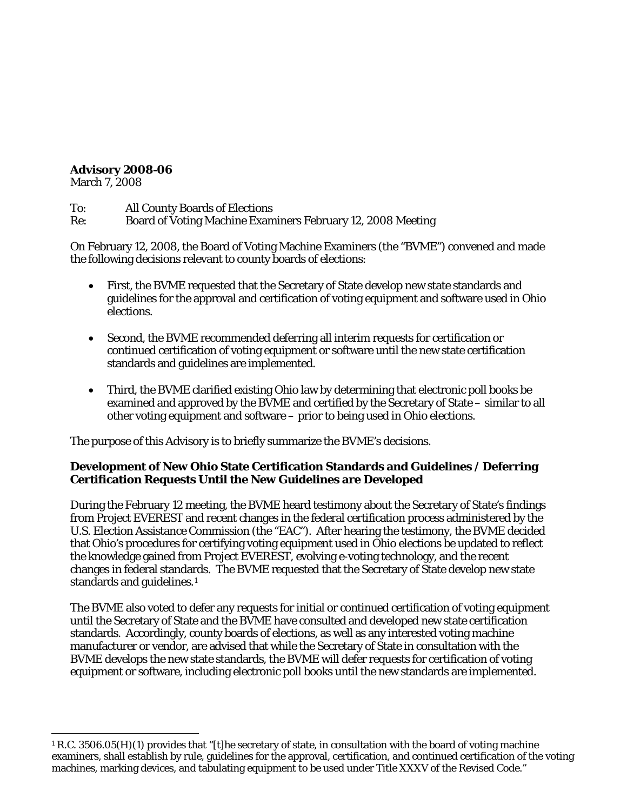## **Advisory 2008-06**

March 7, 2008

To: All County Boards of Elections

Re: Board of Voting Machine Examiners February 12, 2008 Meeting

On February 12, 2008, the Board of Voting Machine Examiners (the "BVME") convened and made the following decisions relevant to county boards of elections:

- First, the BVME requested that the Secretary of State develop new state standards and guidelines for the approval and certification of voting equipment and software used in Ohio elections.
- Second, the BVME recommended deferring all interim requests for certification or continued certification of voting equipment or software until the new state certification standards and guidelines are implemented.
- Third, the BVME clarified existing Ohio law by determining that electronic poll books be examined and approved by the BVME and certified by the Secretary of State – similar to all other voting equipment and software – prior to being used in Ohio elections.

The purpose of this Advisory is to briefly summarize the BVME's decisions.

## **Development of New Ohio State Certification Standards and Guidelines / Deferring Certification Requests Until the New Guidelines are Developed**

During the February 12 meeting, the BVME heard testimony about the Secretary of State's findings from Project EVEREST and recent changes in the federal certification process administered by the U.S. Election Assistance Commission (the "EAC"). After hearing the testimony, the BVME decided that Ohio's procedures for certifying voting equipment used in Ohio elections be updated to reflect the knowledge gained from Project EVEREST, evolving e-voting technology, and the recent changes in federal standards. The BVME requested that the Secretary of State develop new state standards and guidelines.<sup>[1](#page-0-0)</sup>

The BVME also voted to defer any requests for initial or continued certification of voting equipment until the Secretary of State and the BVME have consulted and developed new state certification standards. Accordingly, county boards of elections, as well as any interested voting machine manufacturer or vendor, are advised that while the Secretary of State in consultation with the BVME develops the new state standards, the BVME will defer requests for certification of voting equipment or software, including electronic poll books until the new standards are implemented.

<span id="page-0-0"></span> $\overline{a}$ <sup>1</sup> R.C. 3506.05(H)(1) provides that "[t]he secretary of state, in consultation with the board of voting machine examiners, shall establish by rule, guidelines for the approval, certification, and continued certification of the voting machines, marking devices, and tabulating equipment to be used under Title XXXV of the Revised Code."